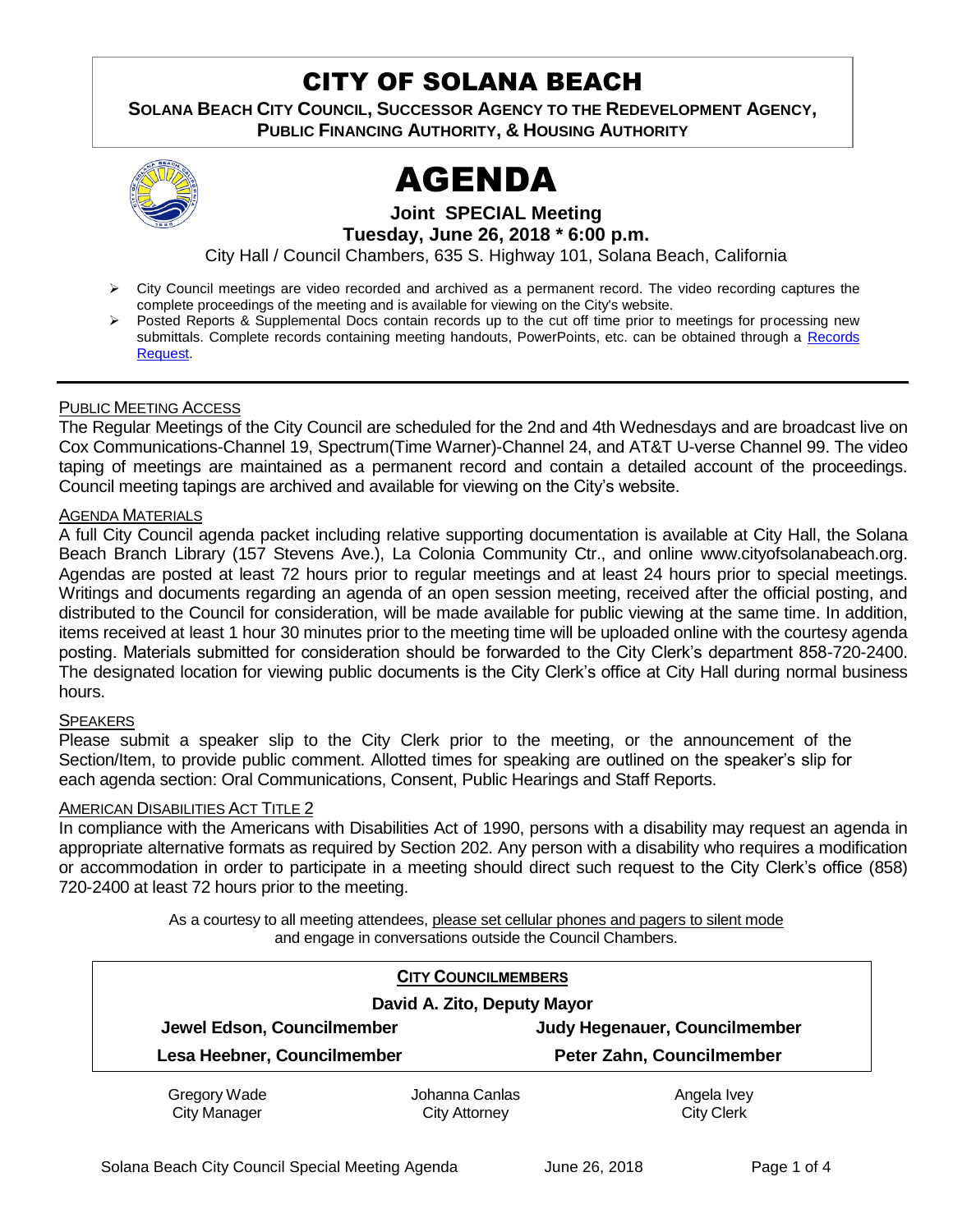# CITY OF SOLANA BEACH

**SOLANA BEACH CITY COUNCIL, SUCCESSOR AGENCY TO THE REDEVELOPMENT AGENCY, PUBLIC FINANCING AUTHORITY, & HOUSING AUTHORITY**



# AGENDA

**Joint SPECIAL Meeting Tuesday, June 26, 2018 \* 6:00 p.m.** 

City Hall / Council Chambers, 635 S. Highway 101, Solana Beach, California

- City Council meetings are video recorded and archived as a permanent record. The video recording captures the complete proceedings of the meeting and is available for viewing on the City's website.
- Posted Reports & Supplemental Docs contain records up to the cut off time prior to meetings for processing new submittals. Complete records containing meeting handouts, PowerPoints, etc. can be obtained through [a Records](http://www.ci.solana-beach.ca.us/index.asp?SEC=F5D45D10-70CE-4291-A27C-7BD633FC6742&Type=B_BASIC) [Reques](http://www.ci.solana-beach.ca.us/index.asp?SEC=F5D45D10-70CE-4291-A27C-7BD633FC6742&Type=B_BASIC)t.

### PUBLIC MEETING ACCESS

The Regular Meetings of the City Council are scheduled for the 2nd and 4th Wednesdays and are broadcast live on Cox Communications-Channel 19, Spectrum(Time Warner)-Channel 24, and AT&T U-verse Channel 99. The video taping of meetings are maintained as a permanent record and contain a detailed account of the proceedings. Council meeting tapings are archived and available for viewing on the City's website.

### AGENDA MATERIALS

A full City Council agenda packet including relative supporting documentation is available at City Hall, the Solana Beach Branch Library (157 Stevens Ave.), La Colonia Community Ctr., and online www.cityofsolanabeach.org. Agendas are posted at least 72 hours prior to regular meetings and at least 24 hours prior to special meetings. Writings and documents regarding an agenda of an open session meeting, received after the official posting, and distributed to the Council for consideration, will be made available for public viewing at the same time. In addition, items received at least 1 hour 30 minutes prior to the meeting time will be uploaded online with the courtesy agenda posting. Materials submitted for consideration should be forwarded to the City Clerk's department 858-720-2400. The designated location for viewing public documents is the City Clerk's office at City Hall during normal business hours.

### **SPEAKERS**

Please submit a speaker slip to the City Clerk prior to the meeting, or the announcement of the Section/Item, to provide public comment. Allotted times for speaking are outlined on the speaker's slip for each agenda section: Oral Communications, Consent, Public Hearings and Staff Reports.

### AMERICAN DISABILITIES ACT TITLE 2

In compliance with the Americans with Disabilities Act of 1990, persons with a disability may request an agenda in appropriate alternative formats as required by Section 202. Any person with a disability who requires a modification or accommodation in order to participate in a meeting should direct such request to the City Clerk's office (858) 720-2400 at least 72 hours prior to the meeting.

> As a courtesy to all meeting attendees, please set cellular phones and pagers to silent mode and engage in conversations outside the Council Chambers.

|                             | <b>CITY COUNCILMEMBERS</b> |                               |  |  |  |
|-----------------------------|----------------------------|-------------------------------|--|--|--|
| David A. Zito, Deputy Mayor |                            |                               |  |  |  |
| Jewel Edson, Councilmember  |                            | Judy Hegenauer, Councilmember |  |  |  |
| Lesa Heebner, Councilmember |                            | Peter Zahn, Councilmember     |  |  |  |
| Gregory Wade                | Johanna Canlas             | Angela Ivey                   |  |  |  |
| <b>City Manager</b>         | <b>City Attorney</b>       | <b>City Clerk</b>             |  |  |  |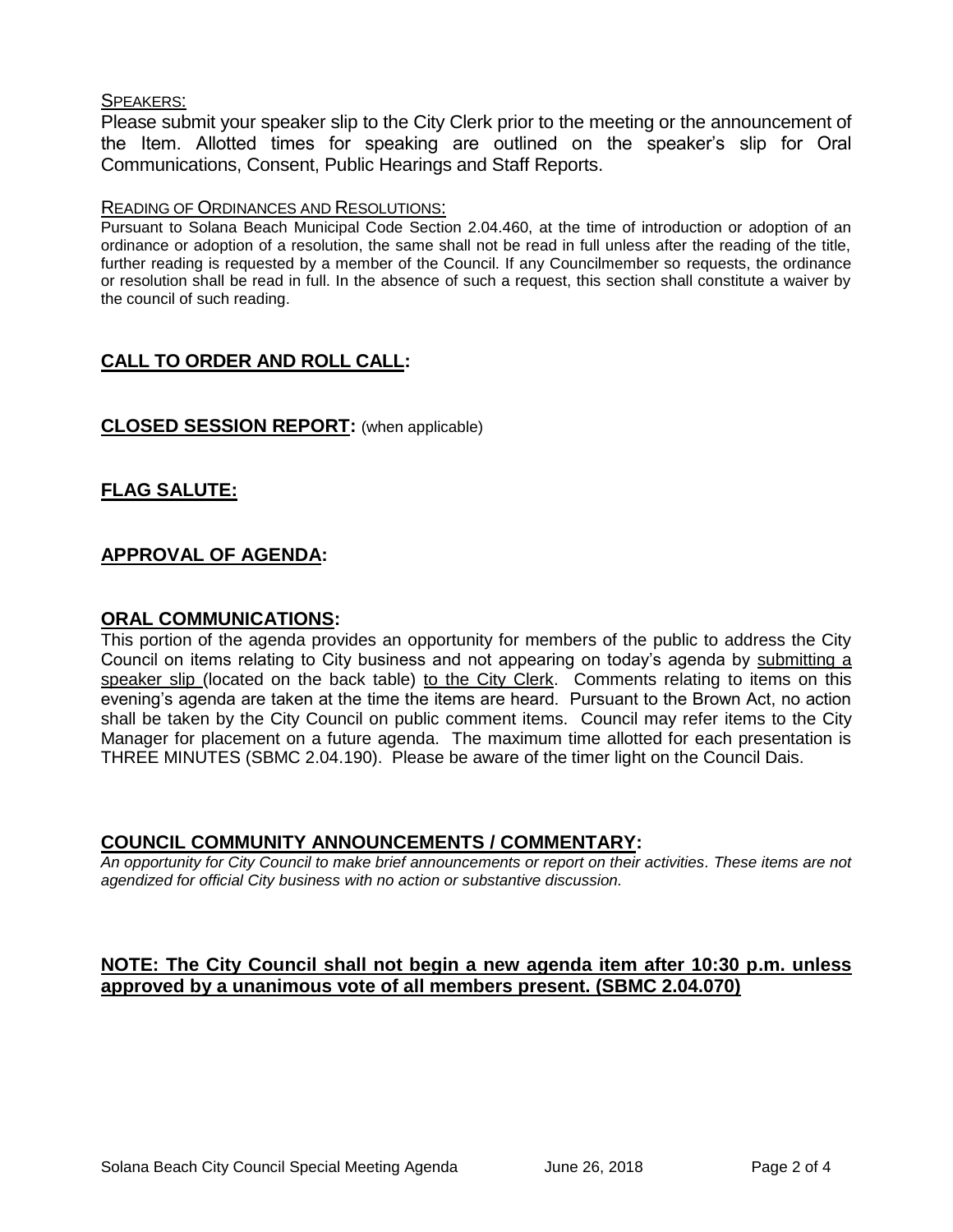### SPEAKERS:

Please submit your speaker slip to the City Clerk prior to the meeting or the announcement of the Item. Allotted times for speaking are outlined on the speaker's slip for Oral Communications, Consent, Public Hearings and Staff Reports.

### READING OF ORDINANCES AND RESOLUTIONS:

Pursuant to Solana Beach Municipal Code Section 2.04.460, at the time of introduction or adoption of an ordinance or adoption of a resolution, the same shall not be read in full unless after the reading of the title, further reading is requested by a member of the Council. If any Councilmember so requests, the ordinance or resolution shall be read in full. In the absence of such a request, this section shall constitute a waiver by the council of such reading.

# **CALL TO ORDER AND ROLL CALL:**

### **CLOSED SESSION REPORT:** (when applicable)

# **FLAG SALUTE:**

# **APPROVAL OF AGENDA:**

### **ORAL COMMUNICATIONS:**

This portion of the agenda provides an opportunity for members of the public to address the City Council on items relating to City business and not appearing on today's agenda by submitting a speaker slip (located on the back table) to the City Clerk. Comments relating to items on this evening's agenda are taken at the time the items are heard. Pursuant to the Brown Act, no action shall be taken by the City Council on public comment items. Council may refer items to the City Manager for placement on a future agenda. The maximum time allotted for each presentation is THREE MINUTES (SBMC 2.04.190). Please be aware of the timer light on the Council Dais.

### **COUNCIL COMMUNITY ANNOUNCEMENTS / COMMENTARY:**

*An opportunity for City Council to make brief announcements or report on their activities. These items are not agendized for official City business with no action or substantive discussion.* 

# **NOTE: The City Council shall not begin a new agenda item after 10:30 p.m. unless approved by a unanimous vote of all members present. (SBMC 2.04.070)**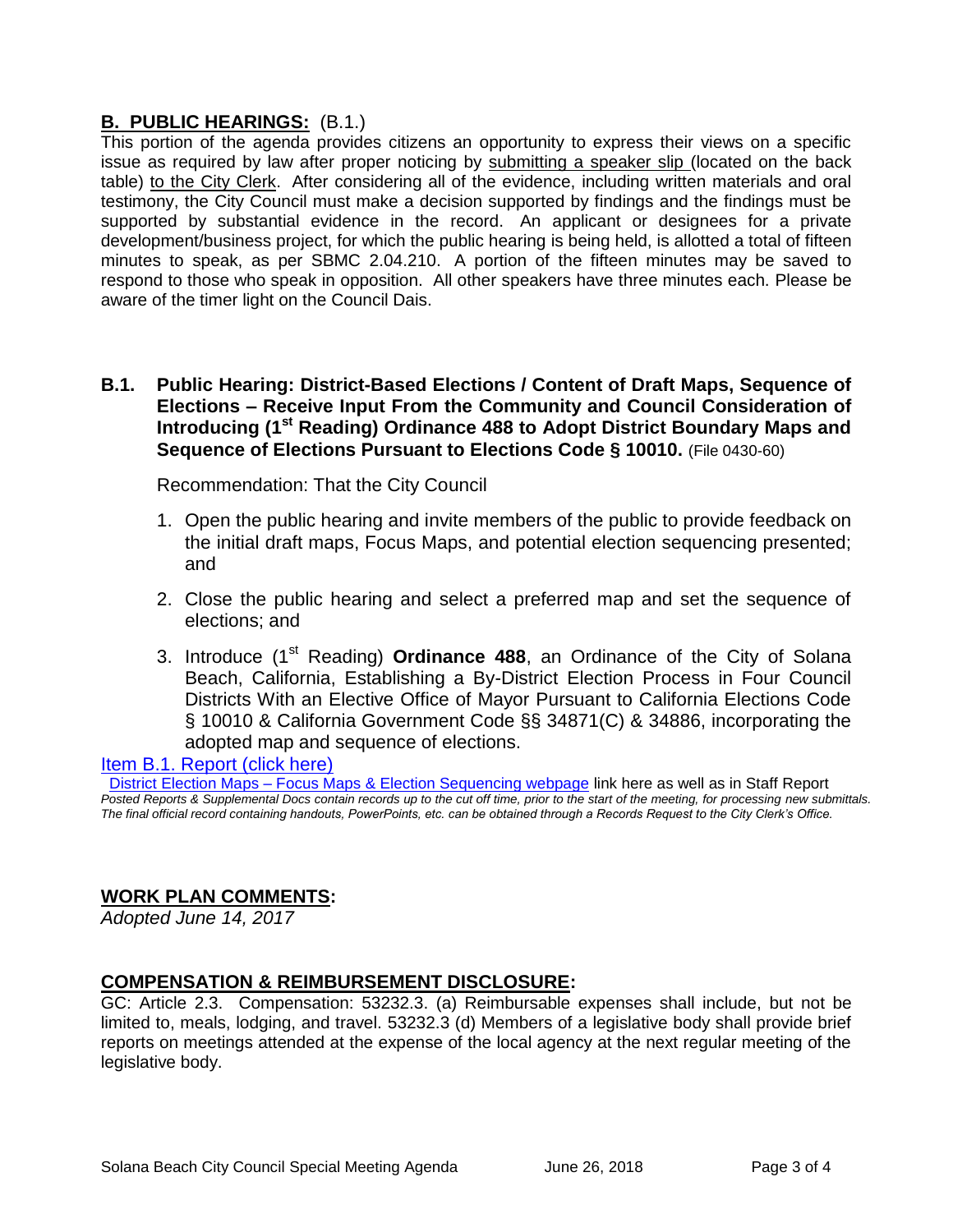# **B. PUBLIC HEARINGS:** (B.1.)

This portion of the agenda provides citizens an opportunity to express their views on a specific issue as required by law after proper noticing by submitting a speaker slip (located on the back table) to the City Clerk. After considering all of the evidence, including written materials and oral testimony, the City Council must make a decision supported by findings and the findings must be supported by substantial evidence in the record. An applicant or designees for a private development/business project, for which the public hearing is being held, is allotted a total of fifteen minutes to speak, as per SBMC 2.04.210. A portion of the fifteen minutes may be saved to respond to those who speak in opposition. All other speakers have three minutes each. Please be aware of the timer light on the Council Dais.

# **B.1. Public Hearing: District-Based Elections / Content of Draft Maps, Sequence of Elections – Receive Input From the Community and Council Consideration of Introducing (1st Reading) Ordinance 488 to Adopt District Boundary Maps and Sequence of Elections Pursuant to Elections Code § 10010.** (File 0430-60)

Recommendation: That the City Council

- 1. Open the public hearing and invite members of the public to provide feedback on the initial draft maps, Focus Maps, and potential election sequencing presented; and
- 2. Close the public hearing and select a preferred map and set the sequence of elections; and
- 3. Introduce (1st Reading) **Ordinance 488**, an Ordinance of the City of Solana Beach, California, Establishing a By-District Election Process in Four Council Districts With an Elective Office of Mayor Pursuant to California Elections Code § 10010 & California Government Code §§ 34871(C) & 34886, incorporating the adopted map and sequence of elections.

# Item B.1. Report (click here)

 [District Election Maps – Focus Maps & Election Sequencing webpage](District%20Election%20Maps%20–%20Focus%20Maps%20&%20Election%20Sequencing%20webpage) link here as well as in Staff Report *Posted Reports & Supplemental Docs contain records up to the cut off time, prior to the start of the meeting, for processing new submittals. The final official record containing handouts, PowerPoints, etc. can be obtained through a Records Request to the City Clerk's Office.*

# **WORK PLAN COMMENTS:**

*Adopted June 14, 2017*

# **COMPENSATION & REIMBURSEMENT DISCLOSURE:**

GC: Article 2.3. Compensation: 53232.3. (a) Reimbursable expenses shall include, but not be limited to, meals, lodging, and travel. 53232.3 (d) Members of a legislative body shall provide brief reports on meetings attended at the expense of the local agency at the next regular meeting of the legislative body.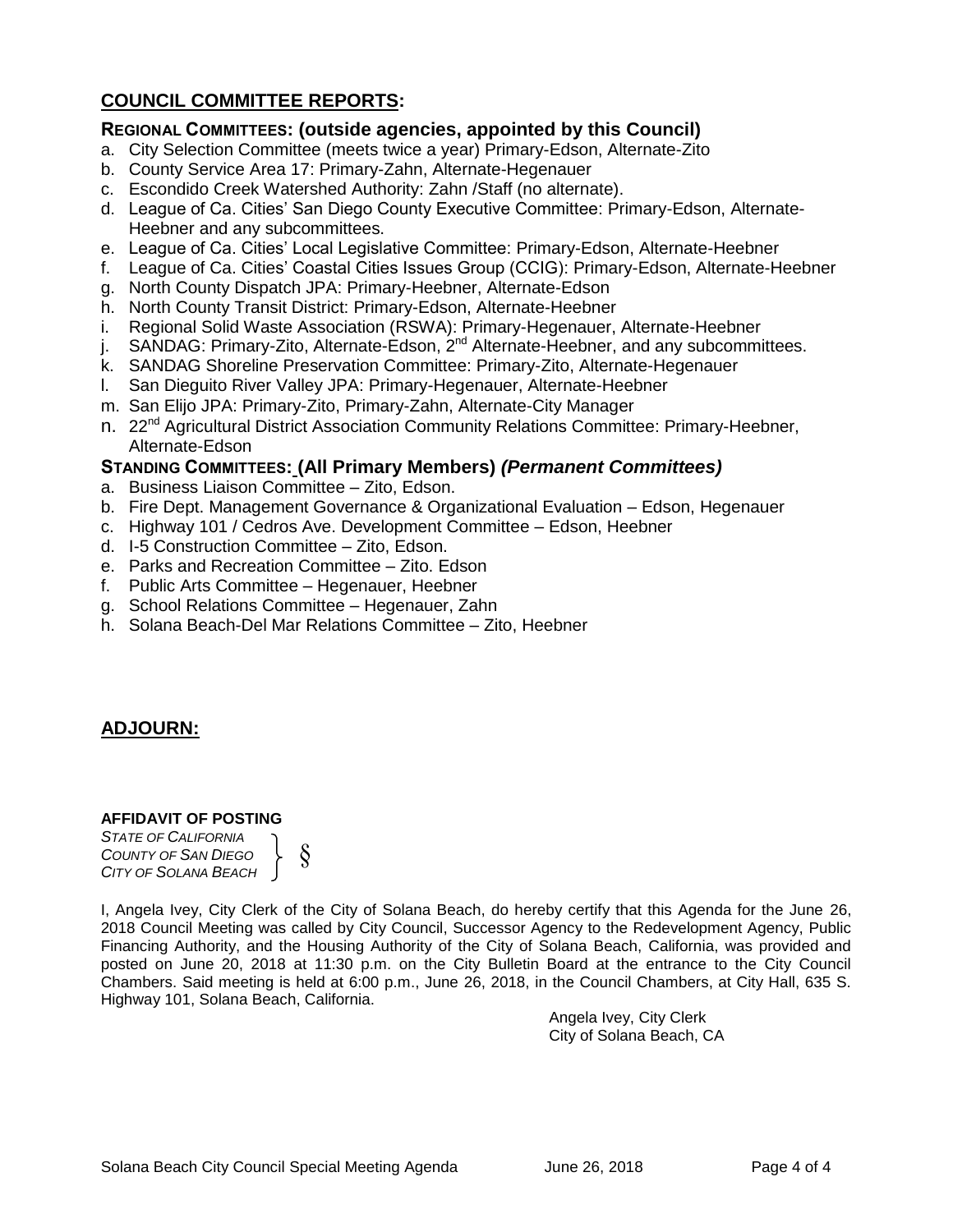# **COUNCIL COMMITTEE REPORTS:**

# **REGIONAL COMMITTEES: (outside agencies, appointed by this Council)**

- a. City Selection Committee (meets twice a year) Primary-Edson, Alternate-Zito
- b. County Service Area 17: Primary-Zahn, Alternate-Hegenauer
- c. Escondido Creek Watershed Authority: Zahn /Staff (no alternate).
- d. League of Ca. Cities' San Diego County Executive Committee: Primary-Edson, Alternate-Heebner and any subcommittees.
- e. League of Ca. Cities' Local Legislative Committee: Primary-Edson, Alternate-Heebner
- f. League of Ca. Cities' Coastal Cities Issues Group (CCIG): Primary-Edson, Alternate-Heebner
- g. North County Dispatch JPA: Primary-Heebner, Alternate-Edson
- h. North County Transit District: Primary-Edson, Alternate-Heebner
- i. Regional Solid Waste Association (RSWA): Primary-Hegenauer, Alternate-Heebner
- j. SANDAG: Primary-Zito, Alternate-Edson, 2<sup>nd</sup> Alternate-Heebner, and any subcommittees.
- k. SANDAG Shoreline Preservation Committee: Primary-Zito, Alternate-Hegenauer
- l. San Dieguito River Valley JPA: Primary-Hegenauer, Alternate-Heebner
- m. San Elijo JPA: Primary-Zito, Primary-Zahn, Alternate-City Manager
- n. 22<sup>nd</sup> Agricultural District Association Community Relations Committee: Primary-Heebner, Alternate-Edson

### **STANDING COMMITTEES: (All Primary Members)** *(Permanent Committees)*

- a. Business Liaison Committee Zito, Edson.
- b. Fire Dept. Management Governance & Organizational Evaluation Edson, Hegenauer
- c. Highway 101 / Cedros Ave. Development Committee Edson, Heebner
- d. I-5 Construction Committee Zito, Edson.
- e. Parks and Recreation Committee Zito. Edson
- f. Public Arts Committee Hegenauer, Heebner
- g. School Relations Committee Hegenauer, Zahn
- h. Solana Beach-Del Mar Relations Committee Zito, Heebner

# **ADJOURN:**

### **AFFIDAVIT OF POSTING**

*STATE OF CALIFORNIA COUNTY OF SAN DIEGO CITY OF SOLANA BEACH* §

I, Angela Ivey, City Clerk of the City of Solana Beach, do hereby certify that this Agenda for the June 26, 2018 Council Meeting was called by City Council, Successor Agency to the Redevelopment Agency, Public Financing Authority, and the Housing Authority of the City of Solana Beach, California, was provided and posted on June 20, 2018 at 11:30 p.m. on the City Bulletin Board at the entrance to the City Council Chambers. Said meeting is held at 6:00 p.m., June 26, 2018, in the Council Chambers, at City Hall, 635 S. Highway 101, Solana Beach, California.

> Angela Ivey, City Clerk City of Solana Beach, CA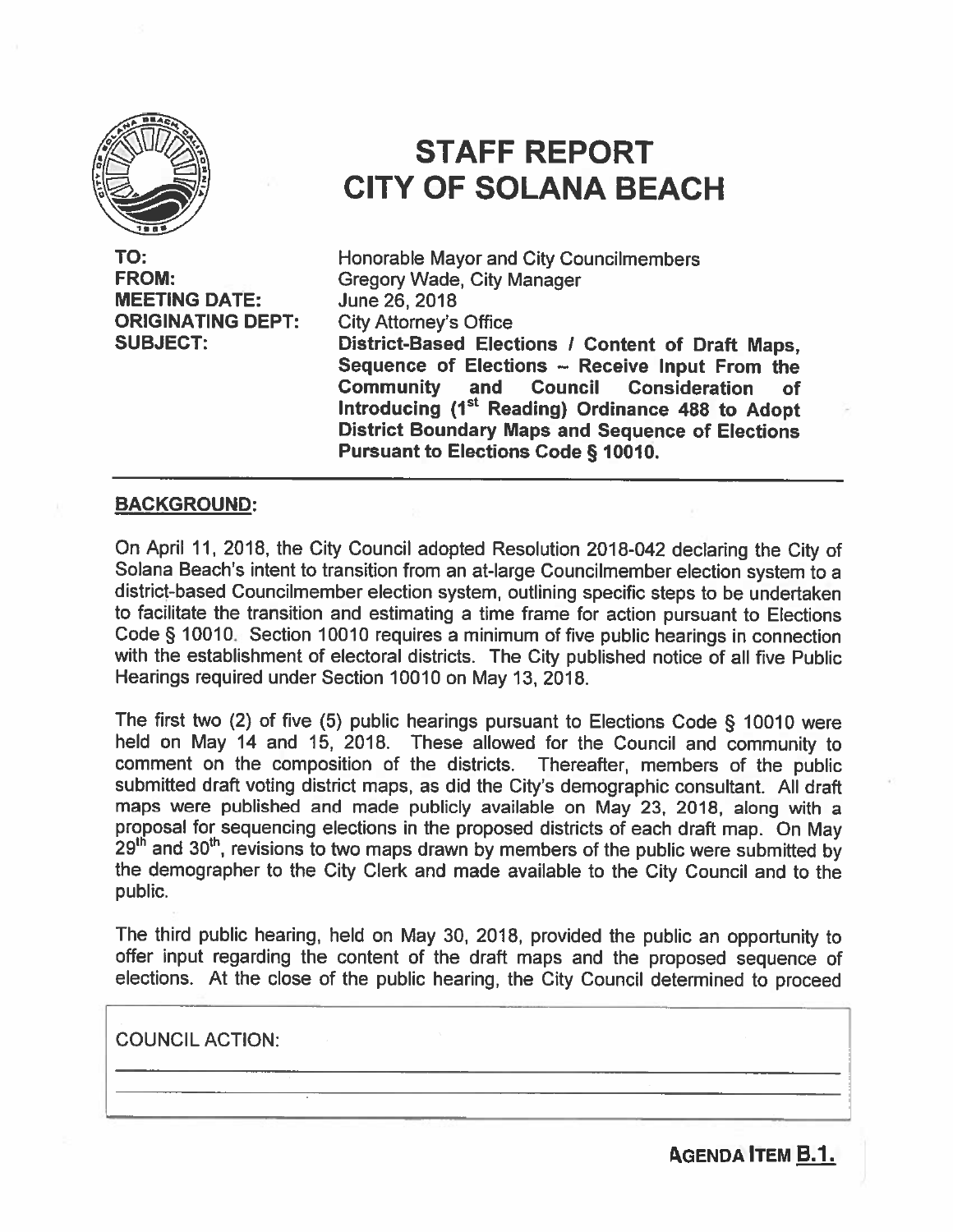

TO: **FROM: MEETING DATE: ORIGINATING DEPT: SUBJECT:** 

# **STAFF REPORT CITY OF SOLANA BEACH**

Honorable Mayor and City Councilmembers **Gregory Wade, City Manager** June 26, 2018 **City Attorney's Office** District-Based Elections / Content of Draft Maps. Sequence of Elections - Receive Input From the **Community** and Council Consideration **of** Introducing (1<sup>st</sup> Reading) Ordinance 488 to Adopt **District Boundary Maps and Sequence of Elections Pursuant to Elections Code § 10010.** 

### **BACKGROUND:**

On April 11, 2018, the City Council adopted Resolution 2018-042 declaring the City of Solana Beach's intent to transition from an at-large Councilmember election system to a district-based Councilmember election system, outlining specific steps to be undertaken to facilitate the transition and estimating a time frame for action pursuant to Elections Code § 10010. Section 10010 requires a minimum of five public hearings in connection with the establishment of electoral districts. The City published notice of all five Public Hearings required under Section 10010 on May 13, 2018.

The first two (2) of five (5) public hearings pursuant to Elections Code § 10010 were held on May 14 and 15, 2018. These allowed for the Council and community to comment on the composition of the districts. Thereafter, members of the public submitted draft voting district maps, as did the City's demographic consultant. All draft maps were published and made publicly available on May 23, 2018, along with a proposal for sequencing elections in the proposed districts of each draft map. On May 29<sup>th</sup> and 30<sup>th</sup>, revisions to two maps drawn by members of the public were submitted by the demographer to the City Clerk and made available to the City Council and to the public.

The third public hearing, held on May 30, 2018, provided the public an opportunity to offer input regarding the content of the draft maps and the proposed sequence of elections. At the close of the public hearing, the City Council determined to proceed

**COUNCIL ACTION:** 

**AGENDA ITEM B.1.**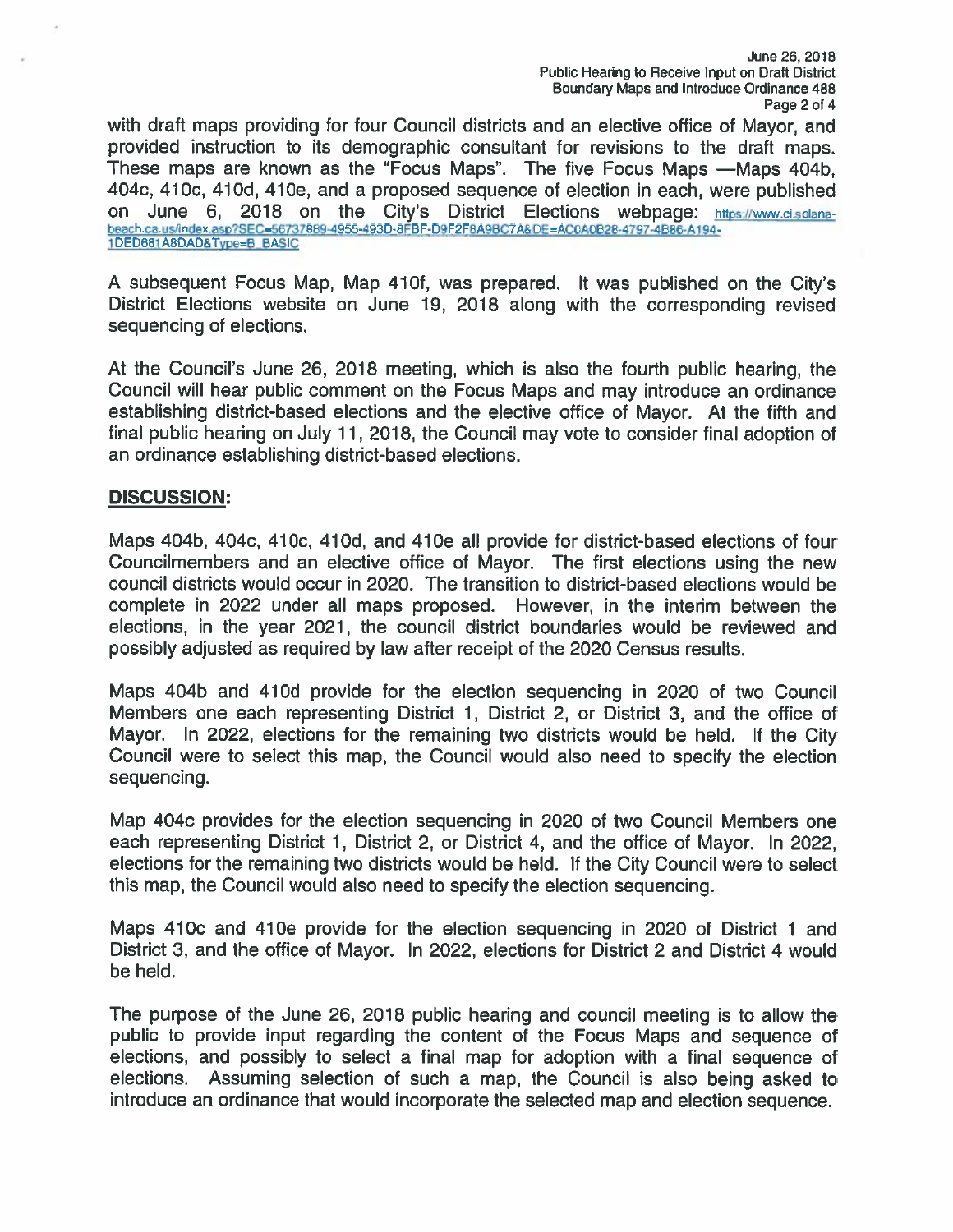with draft maps providing for four Council districts and an elective office of Mayor, and provided instruction to its demographic consultant for revisions to the draft maps. These maps are known as the "Focus Maps". The five Focus Maps -Maps 404b, 404c, 410c, 410d, 410e, and a proposed sequence of election in each, were published on June 6, 2018 on the City's District Elections webpage: https://www.ci.solanabeach.ca.us/index.asp?SEC=56737889-4955-493D-8FBF-D9F2F8A9BC7A&DE=AC0A0B28-4797-4B86-A194-1DED681A8DAD&Type=B\_BASIC

A subsequent Focus Map, Map 410f, was prepared. It was published on the City's District Elections website on June 19, 2018 along with the corresponding revised sequencing of elections.

At the Council's June 26, 2018 meeting, which is also the fourth public hearing, the Council will hear public comment on the Focus Maps and may introduce an ordinance establishing district-based elections and the elective office of Mayor. At the fifth and final public hearing on July 11, 2018, the Council may vote to consider final adoption of an ordinance establishing district-based elections.

### **DISCUSSION:**

Maps 404b, 404c, 410c, 410d, and 410e all provide for district-based elections of four Councilmembers and an elective office of Mayor. The first elections using the new council districts would occur in 2020. The transition to district-based elections would be complete in 2022 under all maps proposed. However, in the interim between the elections, in the year 2021, the council district boundaries would be reviewed and possibly adjusted as required by law after receipt of the 2020 Census results.

Maps 404b and 410d provide for the election sequencing in 2020 of two Council Members one each representing District 1, District 2, or District 3, and the office of Mayor. In 2022, elections for the remaining two districts would be held. If the City Council were to select this map, the Council would also need to specify the election sequencing.

Map 404c provides for the election sequencing in 2020 of two Council Members one each representing District 1, District 2, or District 4, and the office of Mayor. In 2022, elections for the remaining two districts would be held. If the City Council were to select this map, the Council would also need to specify the election sequencing.

Maps 410c and 410e provide for the election sequencing in 2020 of District 1 and District 3, and the office of Mayor. In 2022, elections for District 2 and District 4 would be held.

The purpose of the June 26, 2018 public hearing and council meeting is to allow the public to provide input regarding the content of the Focus Maps and sequence of elections, and possibly to select a final map for adoption with a final sequence of elections. Assuming selection of such a map, the Council is also being asked to introduce an ordinance that would incorporate the selected map and election sequence.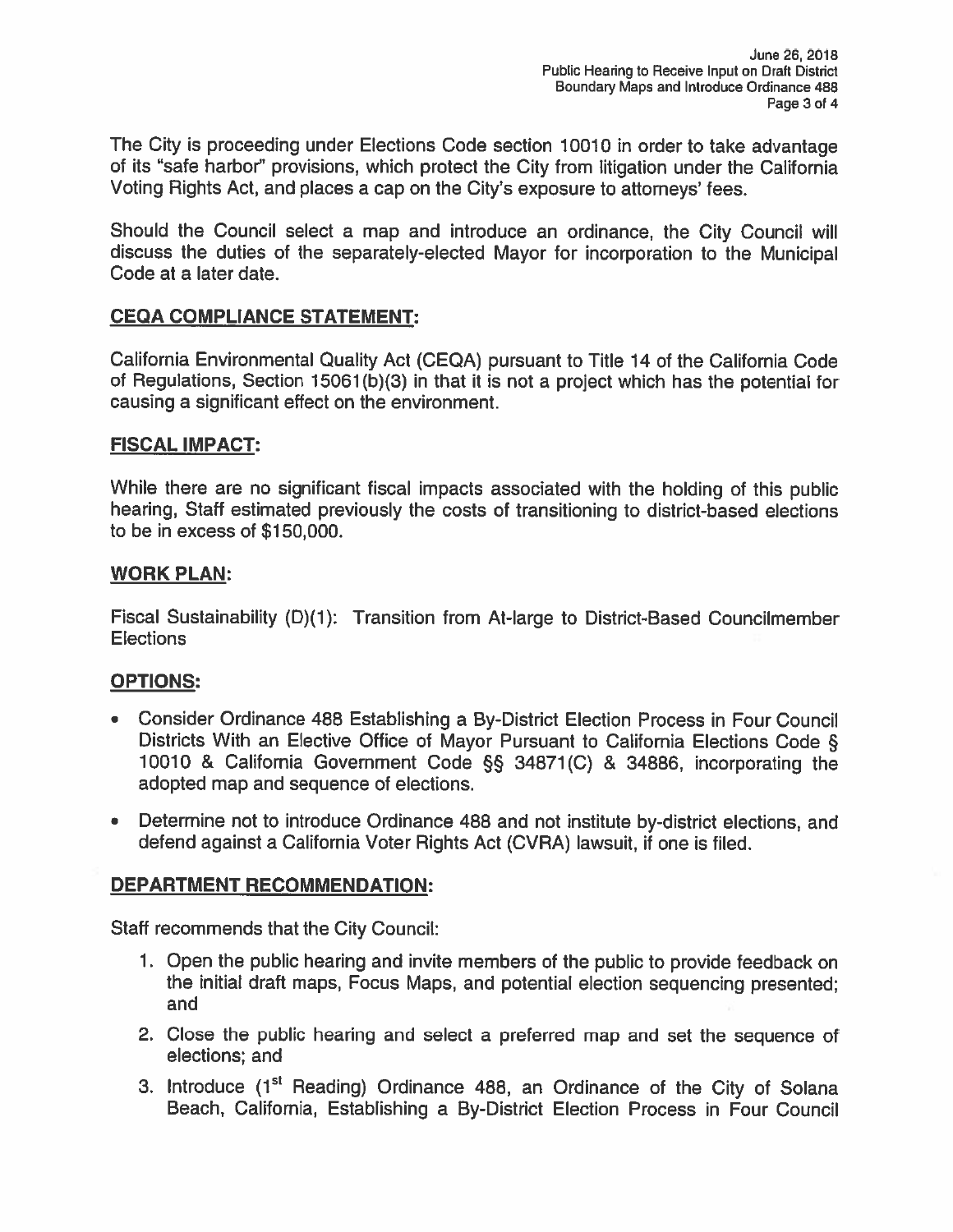The City is proceeding under Elections Code section 10010 in order to take advantage of its "safe harbor" provisions, which protect the City from litigation under the California Voting Rights Act, and places a cap on the City's exposure to attorneys' fees.

Should the Council select a map and introduce an ordinance, the City Council will discuss the duties of the separately-elected Mayor for incorporation to the Municipal Code at a later date.

# **CEQA COMPLIANCE STATEMENT:**

California Environmental Quality Act (CEQA) pursuant to Title 14 of the California Code of Regulations, Section 15061(b)(3) in that it is not a project which has the potential for causing a significant effect on the environment.

# **FISCAL IMPACT:**

While there are no significant fiscal impacts associated with the holding of this public hearing, Staff estimated previously the costs of transitioning to district-based elections to be in excess of \$150,000.

### **WORK PLAN:**

Fiscal Sustainability (D)(1): Transition from At-large to District-Based Councilmember **Elections** 

### **OPTIONS:**

- Consider Ordinance 488 Establishing a By-District Election Process in Four Council Districts With an Elective Office of Mayor Pursuant to California Elections Code § 10010 & California Government Code §§ 34871(C) & 34886, incorporating the adopted map and sequence of elections.
- Determine not to introduce Ordinance 488 and not institute by-district elections, and defend against a California Voter Rights Act (CVRA) lawsuit, if one is filed.

# **DEPARTMENT RECOMMENDATION:**

Staff recommends that the City Council:

- 1. Open the public hearing and invite members of the public to provide feedback on the initial draft maps, Focus Maps, and potential election sequencing presented; and
- 2. Close the public hearing and select a preferred map and set the sequence of elections: and
- 3. Introduce (1<sup>st</sup> Reading) Ordinance 488, an Ordinance of the City of Solana Beach, California, Establishing a By-District Election Process in Four Council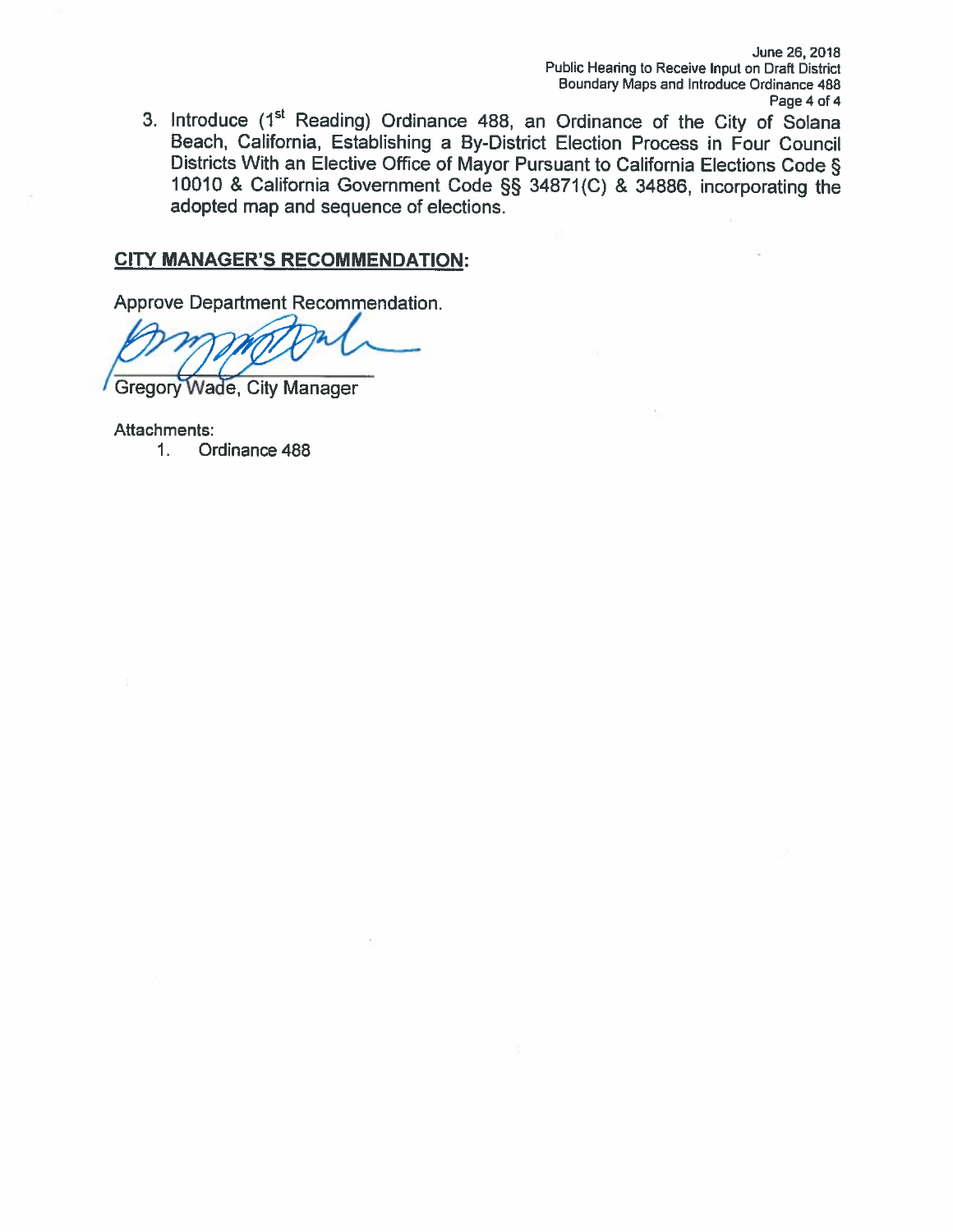June 26, 2018 Public Hearing to Receive Input on Draft District Boundary Maps and Introduce Ordinance 488 Page 4 of 4

3. Introduce (1<sup>st</sup> Reading) Ordinance 488, an Ordinance of the City of Solana Beach, California, Establishing a By-District Election Process in Four Council Districts With an Elective Office of Mayor Pursuant to California Elections Code § 10010 & California Government Code §§ 34871(C) & 34886, incorporating the adopted map and sequence of elections.

### **CITY MANAGER'S RECOMMENDATION:**

Approve Department Recommendation.

**Gregory Wade, City Manager** 

Attachments:

Ordinance 488  $1.$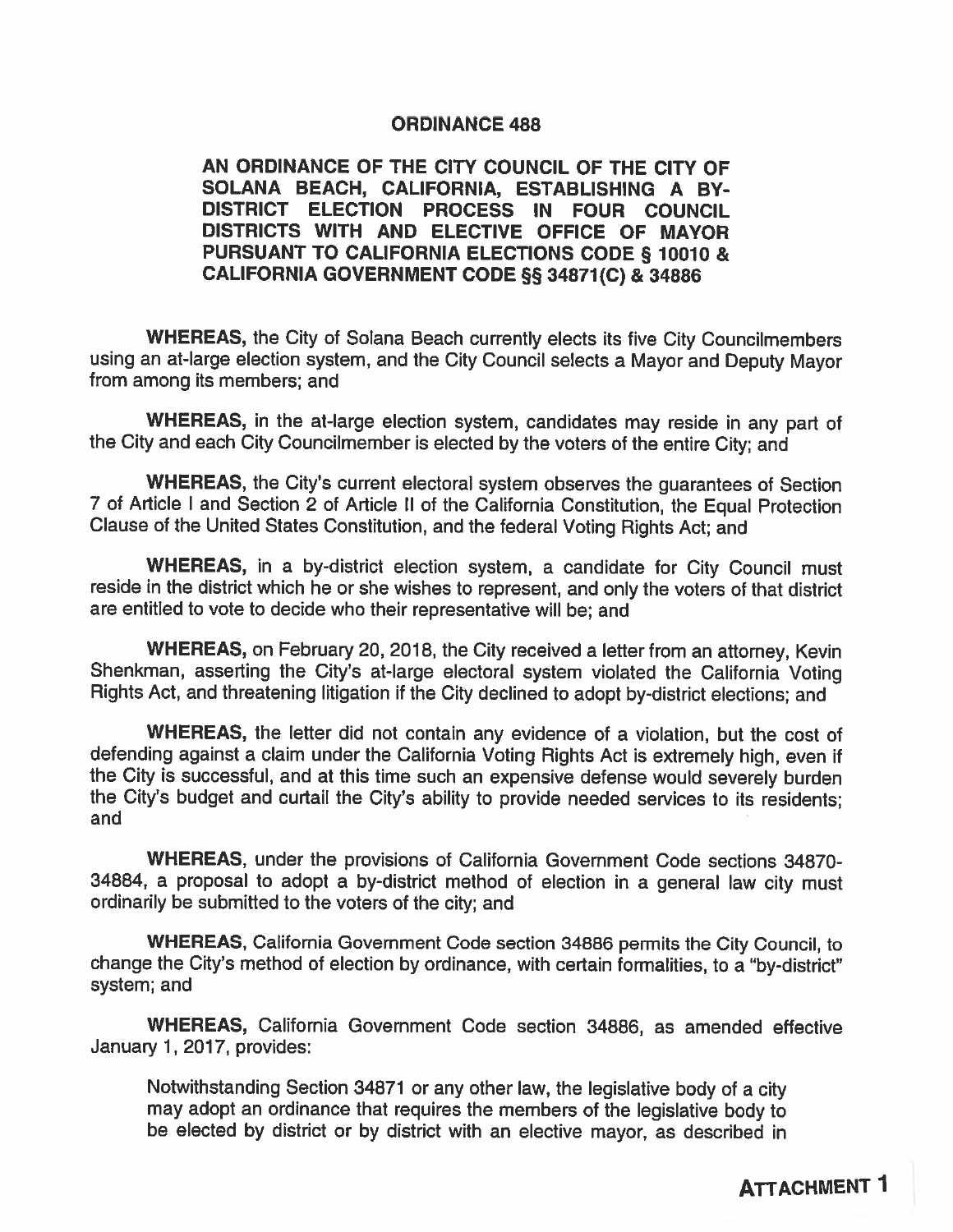### **ORDINANCE 488**

### AN ORDINANCE OF THE CITY COUNCIL OF THE CITY OF SOLANA BEACH, CALIFORNIA, ESTABLISHING A BY-DISTRICT ELECTION PROCESS IN FOUR COUNCIL DISTRICTS WITH AND ELECTIVE OFFICE OF MAYOR PURSUANT TO CALIFORNIA ELECTIONS CODE § 10010 & CALIFORNIA GOVERNMENT CODE §§ 34871(C) & 34886

**WHEREAS, the City of Solana Beach currently elects its five City Councilmembers** using an at-large election system, and the City Council selects a Mayor and Deputy Mayor from among its members; and

WHEREAS, in the at-large election system, candidates may reside in any part of the City and each City Councilmember is elected by the voters of the entire City; and

WHEREAS, the City's current electoral system observes the guarantees of Section 7 of Article I and Section 2 of Article II of the California Constitution, the Equal Protection Clause of the United States Constitution, and the federal Voting Rights Act; and

WHEREAS, in a by-district election system, a candidate for City Council must reside in the district which he or she wishes to represent, and only the voters of that district are entitled to vote to decide who their representative will be; and

WHEREAS, on February 20, 2018, the City received a letter from an attorney. Kevin Shenkman, asserting the City's at-large electoral system violated the California Voting Rights Act, and threatening litigation if the City declined to adopt by-district elections; and

WHEREAS, the letter did not contain any evidence of a violation, but the cost of defending against a claim under the California Voting Rights Act is extremely high, even if the City is successful, and at this time such an expensive defense would severely burden the City's budget and curtail the City's ability to provide needed services to its residents; and

WHEREAS, under the provisions of California Government Code sections 34870-34884, a proposal to adopt a by-district method of election in a general law city must ordinarily be submitted to the voters of the city; and

WHEREAS, California Government Code section 34886 permits the City Council, to change the City's method of election by ordinance, with certain formalities, to a "by-district" system; and

WHEREAS, California Government Code section 34886, as amended effective January 1, 2017, provides:

Notwithstanding Section 34871 or any other law, the legislative body of a city may adopt an ordinance that requires the members of the legislative body to be elected by district or by district with an elective mayor, as described in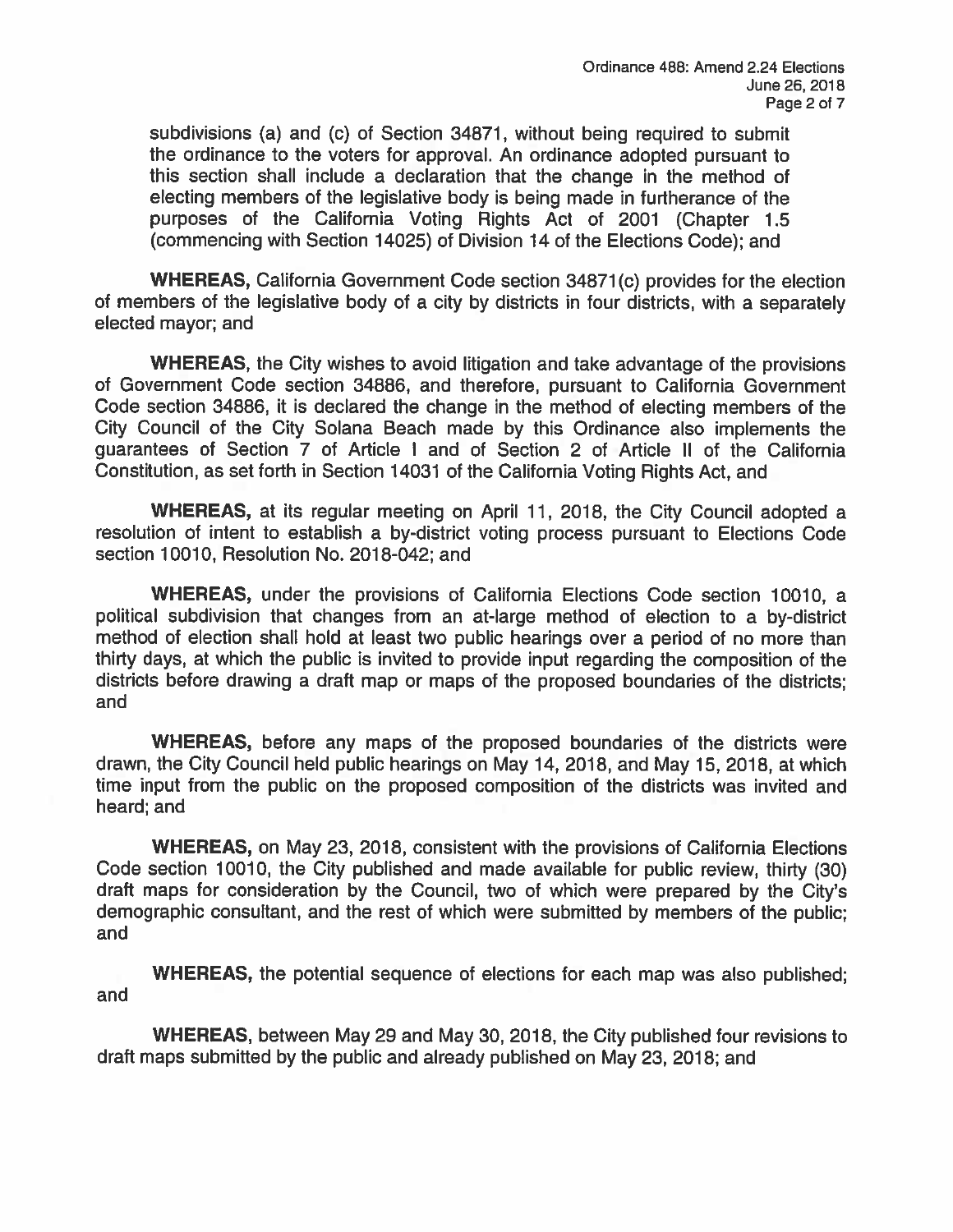subdivisions (a) and (c) of Section 34871, without being required to submit the ordinance to the voters for approval. An ordinance adopted pursuant to this section shall include a declaration that the change in the method of electing members of the legislative body is being made in furtherance of the purposes of the California Voting Rights Act of 2001 (Chapter 1.5 (commencing with Section 14025) of Division 14 of the Elections Code); and

WHEREAS, California Government Code section 34871(c) provides for the election of members of the legislative body of a city by districts in four districts, with a separately elected mayor; and

WHEREAS, the City wishes to avoid litigation and take advantage of the provisions of Government Code section 34886, and therefore, pursuant to California Government Code section 34886, it is declared the change in the method of electing members of the City Council of the City Solana Beach made by this Ordinance also implements the guarantees of Section 7 of Article I and of Section 2 of Article II of the California Constitution, as set forth in Section 14031 of the California Voting Rights Act. and

WHEREAS, at its regular meeting on April 11, 2018, the City Council adopted a resolution of intent to establish a by-district voting process pursuant to Elections Code section 10010, Resolution No. 2018-042; and

WHEREAS, under the provisions of California Elections Code section 10010, a political subdivision that changes from an at-large method of election to a by-district method of election shall hold at least two public hearings over a period of no more than thirty days, at which the public is invited to provide input regarding the composition of the districts before drawing a draft map or maps of the proposed boundaries of the districts; and

WHEREAS, before any maps of the proposed boundaries of the districts were drawn, the City Council held public hearings on May 14, 2018, and May 15, 2018, at which time input from the public on the proposed composition of the districts was invited and heard; and

WHEREAS, on May 23, 2018, consistent with the provisions of California Elections Code section 10010, the City published and made available for public review, thirty (30) draft maps for consideration by the Council, two of which were prepared by the City's demographic consultant, and the rest of which were submitted by members of the public; and

**WHEREAS, the potential sequence of elections for each map was also published;** and

**WHEREAS, between May 29 and May 30, 2018, the City published four revisions to** draft maps submitted by the public and already published on May 23, 2018; and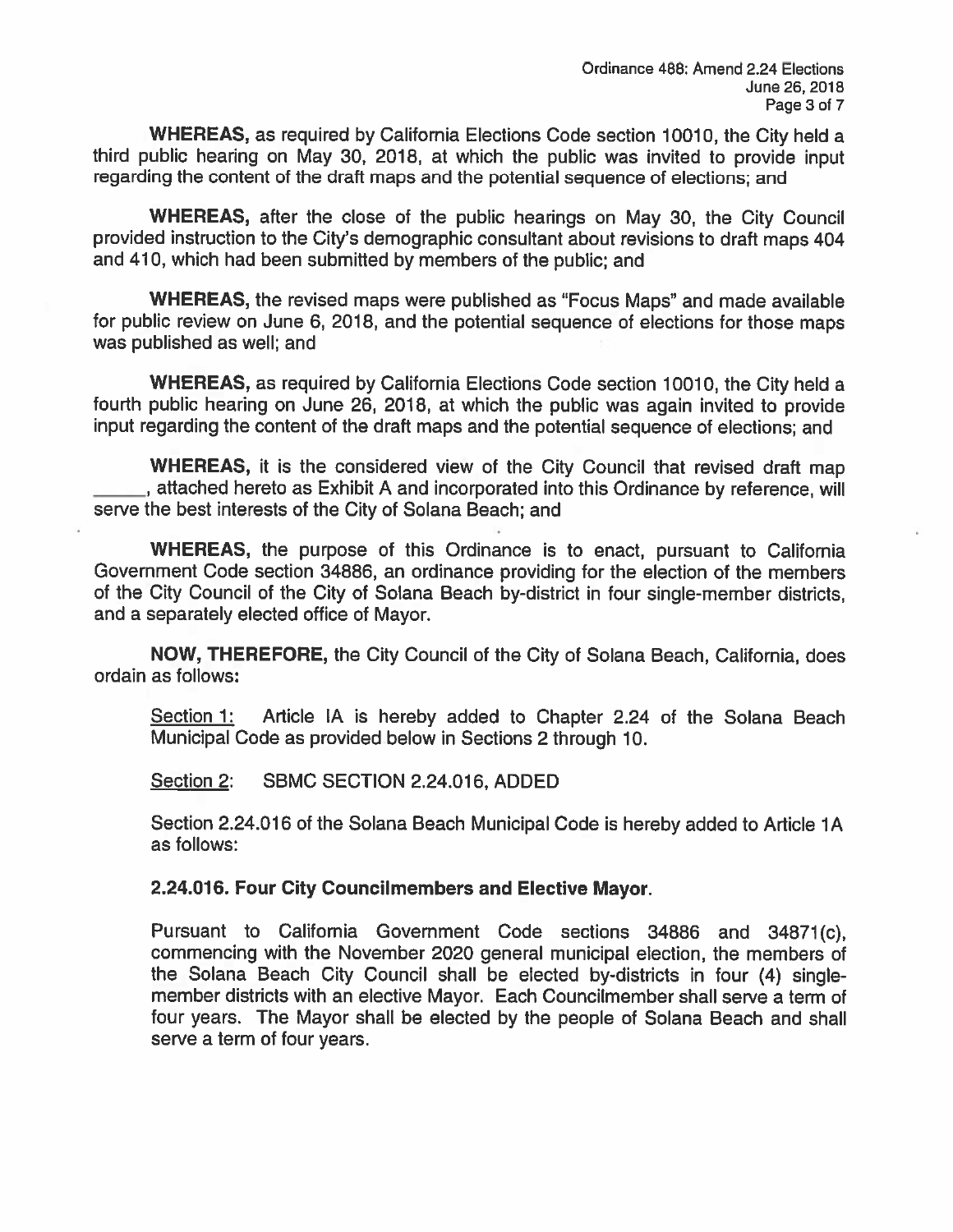**WHEREAS, as required by California Elections Code section 10010, the City held a** third public hearing on May 30, 2018, at which the public was invited to provide input regarding the content of the draft maps and the potential sequence of elections; and

**WHEREAS,** after the close of the public hearings on May 30, the City Council provided instruction to the City's demographic consultant about revisions to draft maps 404 and 410, which had been submitted by members of the public; and

**WHEREAS, the revised maps were published as "Focus Maps" and made available** for public review on June 6, 2018, and the potential sequence of elections for those maps was published as well; and

WHEREAS, as required by California Elections Code section 10010, the City held a fourth public hearing on June 26, 2018, at which the public was again invited to provide input regarding the content of the draft maps and the potential sequence of elections; and

**WHEREAS, it is the considered view of the City Council that revised draft map** , attached hereto as Exhibit A and incorporated into this Ordinance by reference, will serve the best interests of the City of Solana Beach; and

WHEREAS, the purpose of this Ordinance is to enact, pursuant to California Government Code section 34886, an ordinance providing for the election of the members of the City Council of the City of Solana Beach by-district in four single-member districts. and a separately elected office of Mayor.

NOW, THEREFORE, the City Council of the City of Solana Beach, California, does ordain as follows:

Article IA is hereby added to Chapter 2.24 of the Solana Beach <u>Section 1:</u> Municipal Code as provided below in Sections 2 through 10.

Section 2: SBMC SECTION 2.24.016, ADDED

Section 2.24.016 of the Solana Beach Municipal Code is hereby added to Article 1A as follows:

### 2.24.016. Four City Councilmembers and Elective Mayor.

Pursuant to California Government Code sections 34886 and 34871(c), commencing with the November 2020 general municipal election, the members of the Solana Beach City Council shall be elected by-districts in four (4) singlemember districts with an elective Mayor. Each Councilmember shall serve a term of four years. The Mayor shall be elected by the people of Solana Beach and shall serve a term of four years.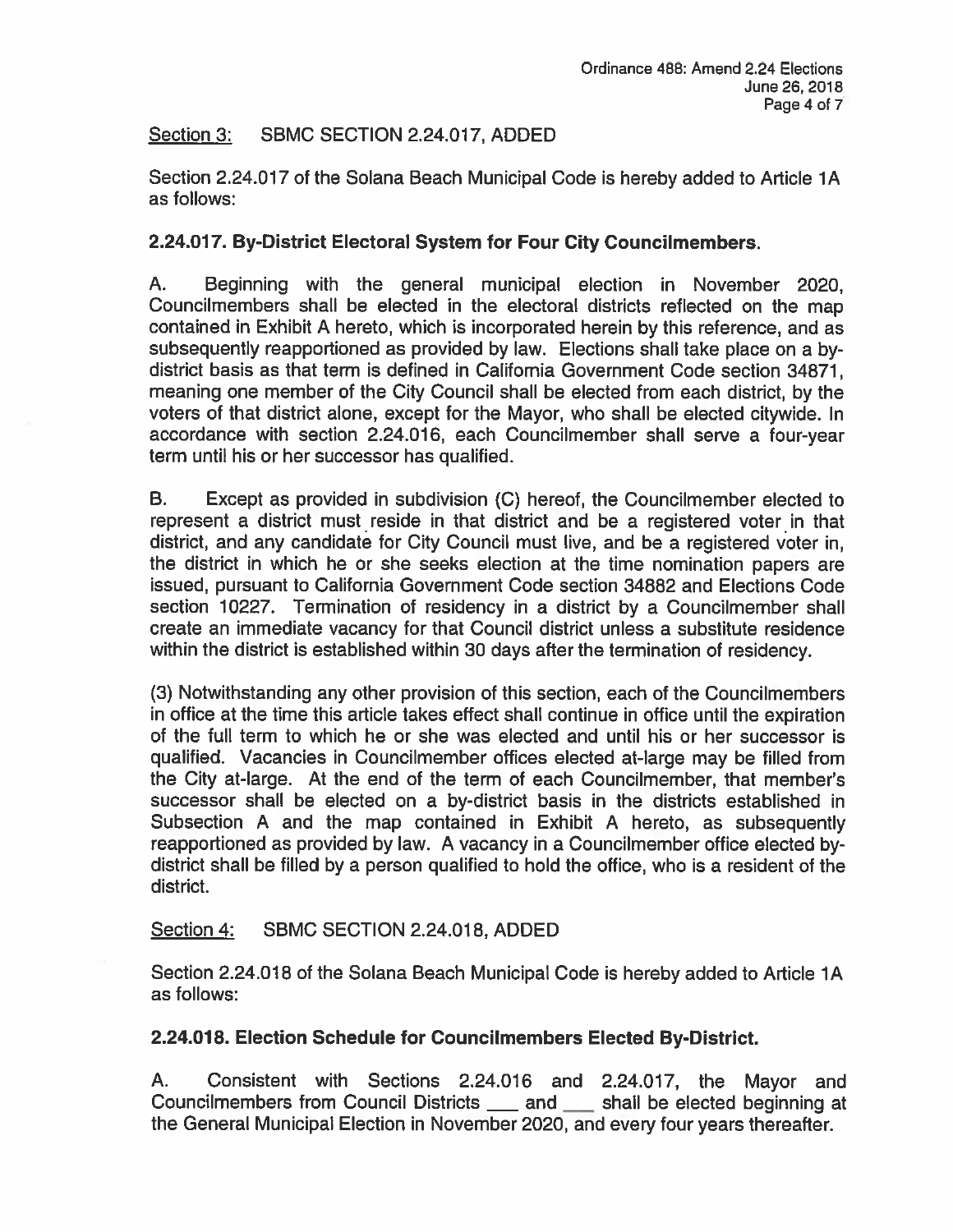#### SBMC SECTION 2.24.017, ADDED Section 3:

Section 2.24.017 of the Solana Beach Municipal Code is hereby added to Article 1A as follows:

# 2.24.017. By-District Electoral System for Four City Councilmembers.

A. Beginning with the general municipal election in November 2020, Councilmembers shall be elected in the electoral districts reflected on the map contained in Exhibit A hereto, which is incorporated herein by this reference, and as subsequently reapportioned as provided by law. Elections shall take place on a bydistrict basis as that term is defined in California Government Code section 34871. meaning one member of the City Council shall be elected from each district, by the voters of that district alone, except for the Mayor, who shall be elected citywide. In accordance with section 2.24.016, each Councilmember shall serve a four-year term until his or her successor has qualified.

B. Except as provided in subdivision (C) hereof, the Councilmember elected to represent a district must reside in that district and be a registered voter in that district, and any candidate for City Council must live, and be a registered voter in, the district in which he or she seeks election at the time nomination papers are issued, pursuant to California Government Code section 34882 and Elections Code section 10227. Termination of residency in a district by a Councilmember shall create an immediate vacancy for that Council district unless a substitute residence within the district is established within 30 days after the termination of residency.

(3) Notwithstanding any other provision of this section, each of the Councilmembers in office at the time this article takes effect shall continue in office until the expiration of the full term to which he or she was elected and until his or her successor is qualified. Vacancies in Councilmember offices elected at-large may be filled from the City at-large. At the end of the term of each Councilmember, that member's successor shall be elected on a by-district basis in the districts established in Subsection A and the map contained in Exhibit A hereto, as subsequently reapportioned as provided by law. A vacancy in a Councilmember office elected bydistrict shall be filled by a person qualified to hold the office, who is a resident of the district.

#### SBMC SECTION 2.24.018, ADDED <u>Section 4:</u>

Section 2.24.018 of the Solana Beach Municipal Code is hereby added to Article 1A as follows:

# 2.24.018. Election Schedule for Councilmembers Elected By-District.

Consistent with Sections 2.24.016 and 2.24.017, the Mayor and А. Councilmembers from Council Districts \_\_\_\_\_ and \_\_\_\_\_ shall be elected beginning at the General Municipal Election in November 2020, and every four years thereafter.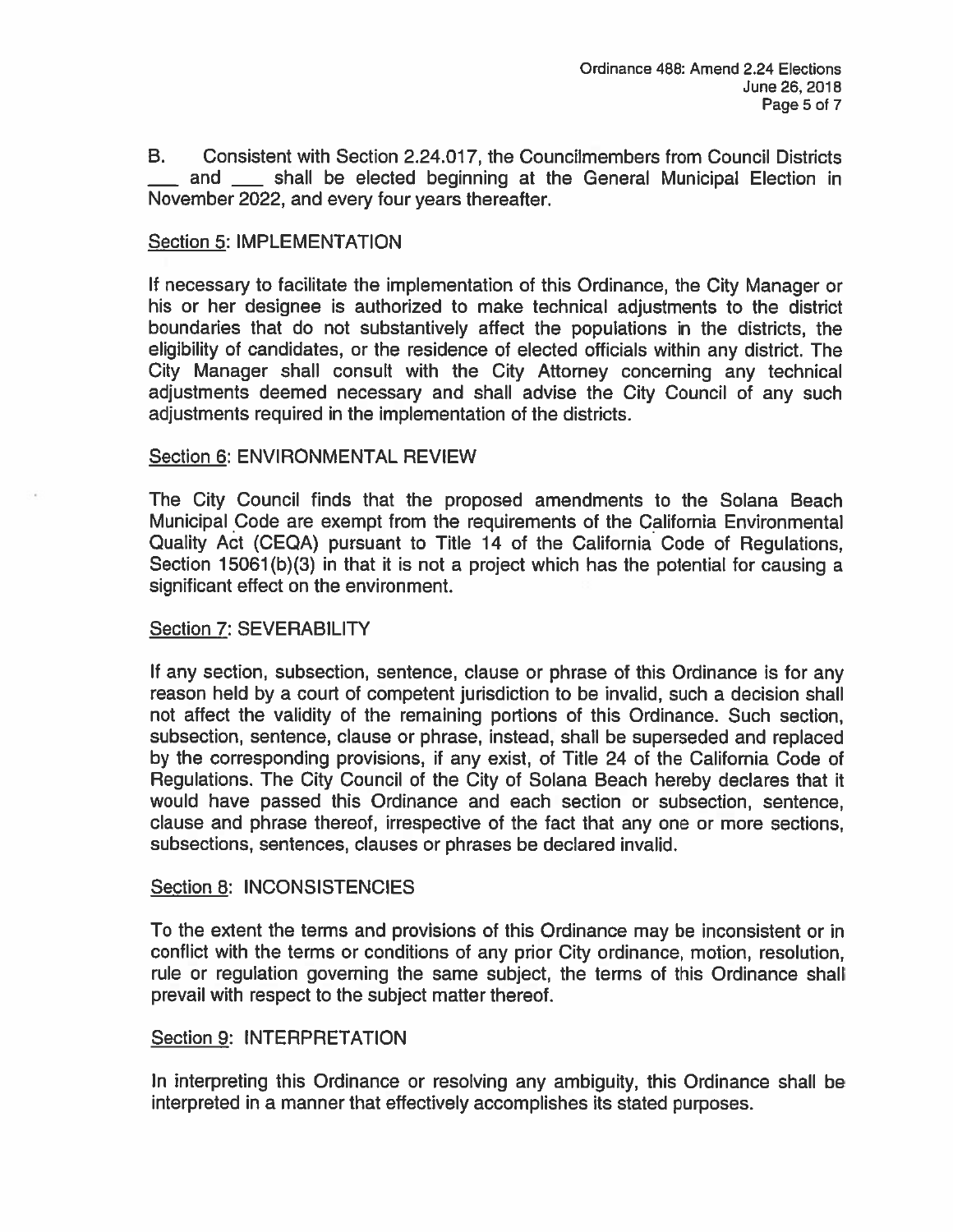**B.** Consistent with Section 2.24.017, the Councilmembers from Council Districts and \_\_\_\_ shall be elected beginning at the General Municipal Election in November 2022, and every four years thereafter.

# **Section 5: IMPLEMENTATION**

If necessary to facilitate the implementation of this Ordinance, the City Manager or his or her designee is authorized to make technical adjustments to the district boundaries that do not substantively affect the populations in the districts, the eligibility of candidates, or the residence of elected officials within any district. The City Manager shall consult with the City Attorney concerning any technical adjustments deemed necessary and shall advise the City Council of any such adjustments required in the implementation of the districts.

### Section 6: ENVIRONMENTAL REVIEW

The City Council finds that the proposed amendments to the Solana Beach Municipal Code are exempt from the requirements of the California Environmental Quality Act (CEQA) pursuant to Title 14 of the California Code of Regulations, Section 15061(b)(3) in that it is not a project which has the potential for causing a significant effect on the environment.

### Section 7: SEVERABILITY

If any section, subsection, sentence, clause or phrase of this Ordinance is for any reason held by a court of competent jurisdiction to be invalid, such a decision shall not affect the validity of the remaining portions of this Ordinance. Such section, subsection, sentence, clause or phrase, instead, shall be superseded and replaced by the corresponding provisions, if any exist, of Title 24 of the California Code of Regulations. The City Council of the City of Solana Beach hereby declares that it would have passed this Ordinance and each section or subsection, sentence, clause and phrase thereof, irrespective of the fact that any one or more sections. subsections, sentences, clauses or phrases be declared invalid.

### Section 8: INCONSISTENCIES

To the extent the terms and provisions of this Ordinance may be inconsistent or in conflict with the terms or conditions of any prior City ordinance, motion, resolution, rule or regulation governing the same subject, the terms of this Ordinance shall prevail with respect to the subject matter thereof.

### Section 9: INTERPRETATION

In interpreting this Ordinance or resolving any ambiguity, this Ordinance shall be interpreted in a manner that effectively accomplishes its stated purposes.